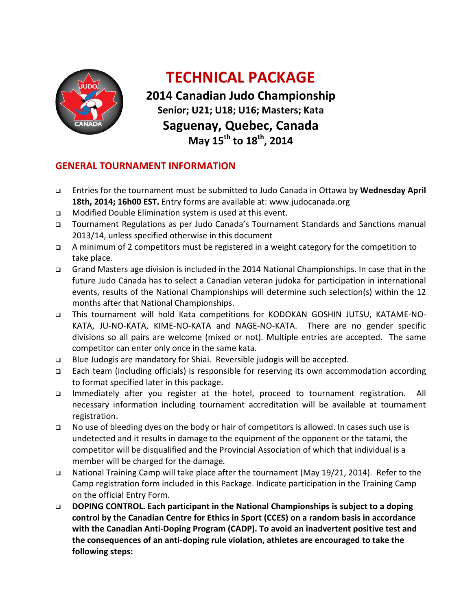

## **TECHNICAL PACKAGE**

**2014 Canadian Judo Championship Senior; U21; U18; U16; Masters; Kata Saguenay, Quebec, Canada May 15th to 18th, 2014**

#### **GENERAL TOURNAMENT INFORMATION**

- Entries for the tournament must be submitted to Judo Canada in Ottawa by **Wednesday April 18th, 2014; 16h00 EST.** Entry forms are available at: www.judocanada.org
- Modified Double Elimination system is used at this event.
- Tournament Regulations as per Judo Canada's Tournament Standards and Sanctions manual 2013/14, unless specified otherwise in this document
- A minimum of 2 competitors must be registered in a weight category for the competition to take place.
- Grand Masters age division is included in the 2014 National Championships. In case that in the future Judo Canada has to select a Canadian veteran judoka for participation in international events, results of the National Championships will determine such selection(s) within the 12 months after that National Championships.
- This tournament will hold Kata competitions for KODOKAN GOSHIN JUTSU, KATAME-NO-KATA, JU-NO-KATA, KIME-NO-KATA and NAGE-NO-KATA. There are no gender specific divisions so all pairs are welcome (mixed or not). Multiple entries are accepted. The same competitor can enter only once in the same kata.
- Blue Judogis are mandatory for Shiai. Reversible judogis will be accepted.
- Each team (including officials) is responsible for reserving its own accommodation according to format specified later in this package.
- Immediately after you register at the hotel, proceed to tournament registration. All necessary information including tournament accreditation will be available at tournament registration.
- □ No use of bleeding dyes on the body or hair of competitors is allowed. In cases such use is undetected and it results in damage to the equipment of the opponent or the tatami, the competitor will be disqualified and the Provincial Association of which that individual is a member will be charged for the damage*.*
- □ National Training Camp will take place after the tournament (May 19/21, 2014). Refer to the Camp registration form included in this Package. Indicate participation in the Training Camp on the official Entry Form.
- **DOPING CONTROL. Each participant in the National Championships is subject to a doping control by the Canadian Centre for Ethics in Sport (CCES) on a random basis in accordance with the Canadian Anti-Doping Program (CADP). To avoid an inadvertent positive test and the consequences of an anti-doping rule violation, athletes are encouraged to take the following steps:**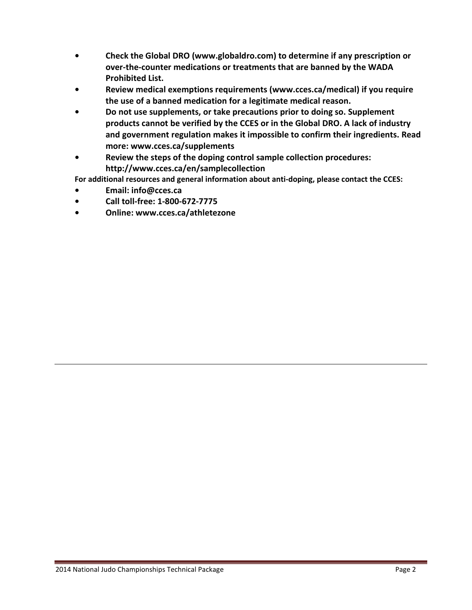- **Check the Global DRO (www.globaldro.com) to determine if any prescription or over-the-counter medications or treatments that are banned by the WADA Prohibited List.**
- **Review medical exemptions requirements (www.cces.ca/medical) if you require the use of a banned medication for a legitimate medical reason.**
- **Do not use supplements, or take precautions prior to doing so. Supplement products cannot be verified by the CCES or in the Global DRO. A lack of industry and government regulation makes it impossible to confirm their ingredients. Read more: www.cces.ca/supplements**
- **Review the steps of the doping control sample collection procedures: http://www.cces.ca/en/samplecollection**

**For additional resources and general information about anti-doping, please contact the CCES:** 

- **Email: info@cces.ca**
- **Call toll-free: 1-800-672-7775**
- **Online: www.cces.ca/athletezone**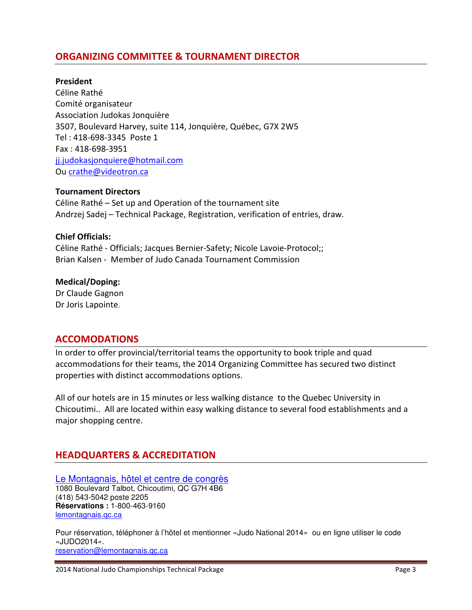### **ORGANIZING COMMITTEE & TOURNAMENT DIRECTOR**

#### **President**

Céline Rathé Comité organisateur Association Judokas Jonquière 3507, Boulevard Harvey, suite 114, Jonquière, Québec, G7X 2W5 Tel : 418-698-3345 Poste 1 Fax : 418-698-3951 jj.judokasjonquiere@hotmail.com Ou crathe@videotron.ca

#### **Tournament Directors**

Céline Rathé – Set up and Operation of the tournament site Andrzej Sadej – Technical Package, Registration, verification of entries, draw.

#### **Chief Officials:**

Céline Rathé - Officials; Jacques Bernier-Safety; Nicole Lavoie-Protocol;; Brian Kalsen - Member of Judo Canada Tournament Commission

#### **Medical/Doping:**

Dr Claude Gagnon Dr Joris Lapointe.

#### **ACCOMODATIONS**

In order to offer provincial/territorial teams the opportunity to book triple and quad accommodations for their teams, the 2014 Organizing Committee has secured two distinct properties with distinct accommodations options.

All of our hotels are in 15 minutes or less walking distance to the Quebec University in Chicoutimi.. All are located within easy walking distance to several food establishments and a major shopping centre.

#### **HEADQUARTERS & ACCREDITATION**

Le Montagnais, hôtel et centre de congrès 1080 Boulevard Talbot, Chicoutimi, QC G7H 4B6 (418) 543-5042 poste 2205 **Réservations :** 1-800-463-9160 lemontagnais.qc.ca

Pour réservation, téléphoner à l'hôtel et mentionner «Judo National 2014» ou en ligne utiliser le code «JUDO2014». reservation@lemontagnais.qc.ca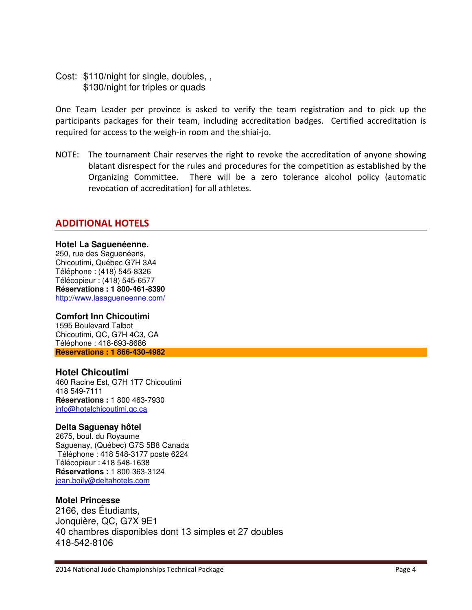Cost: \$110/night for single, doubles, , \$130/night for triples or quads

One Team Leader per province is asked to verify the team registration and to pick up the participants packages for their team, including accreditation badges. Certified accreditation is required for access to the weigh-in room and the shiai-jo.

NOTE: The tournament Chair reserves the right to revoke the accreditation of anyone showing blatant disrespect for the rules and procedures for the competition as established by the Organizing Committee. There will be a zero tolerance alcohol policy (automatic revocation of accreditation) for all athletes.

#### **ADDITIONAL HOTELS**

#### **Hotel La Saguenéenne.**

250, rue des Saguenéens, Chicoutimi, Québec G7H 3A4 Téléphone : (418) 545-8326 Télécopieur : (418) 545-6577 **Réservations : 1 800-461-8390**  http://www.lasagueneenne.com/

#### **Comfort Inn Chicoutimi**

1595 Boulevard Talbot Chicoutimi, QC, G7H 4C3, CA Téléphone : 418-693-8686 **Réservations : 1 866-430-4982**

#### **Hotel Chicoutimi**

460 Racine Est, G7H 1T7 Chicoutimi 418 549-7111 **Réservations :** 1 800 463-7930 info@hotelchicoutimi.qc.ca

#### **Delta Saguenay hôtel**

2675, boul. du Royaume Saguenay, (Québec) G7S 5B8 Canada Téléphone : 418 548-3177 poste 6224 Télécopieur : 418 548-1638 **Réservations :** 1 800 363-3124 jean.boily@deltahotels.com

#### **Motel Princesse**

2166, des Étudiants, Jonquière, QC, G7X 9E1 40 chambres disponibles dont 13 simples et 27 doubles 418-542-8106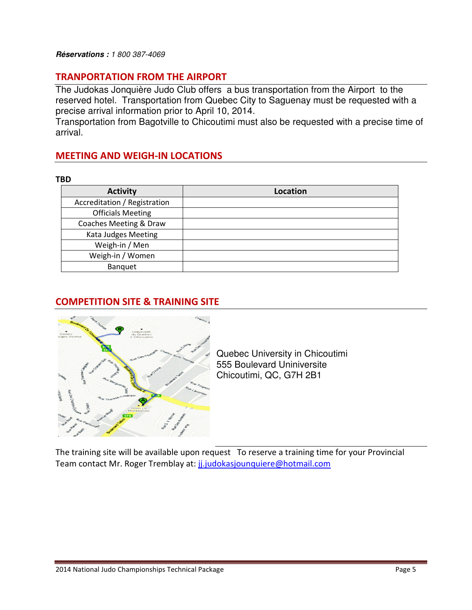#### **Réservations :** 1 800 387-4069

#### **TRANPORTATION FROM THE AIRPORT**

The Judokas Jonquière Judo Club offers a bus transportation from the Airport to the reserved hotel. Transportation from Quebec City to Saguenay must be requested with a precise arrival information prior to April 10, 2014.

Transportation from Bagotville to Chicoutimi must also be requested with a precise time of arrival.

#### **MEETING AND WEIGH-IN LOCATIONS**

**TBD** 

| <b>Activity</b>              | <b>Location</b> |
|------------------------------|-----------------|
| Accreditation / Registration |                 |
| <b>Officials Meeting</b>     |                 |
| Coaches Meeting & Draw       |                 |
| Kata Judges Meeting          |                 |
| Weigh-in / Men               |                 |
| Weigh-in / Women             |                 |
| Banquet                      |                 |

## **COMPETITION SITE & TRAINING SITE**



Quebec University in Chicoutimi 555 Boulevard Uniniversite Chicoutimi, QC, G7H 2B1

The training site will be available upon request To reserve a training time for your Provincial Team contact Mr. Roger Tremblay at: ji.judokasjounquiere@hotmail.com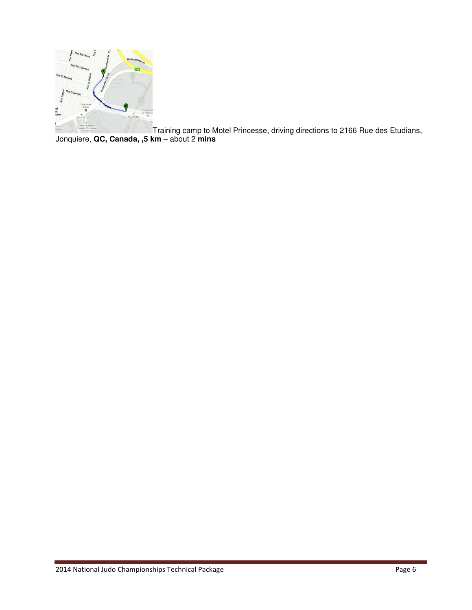

Training camp to Motel Princesse, driving directions to 2166 Rue des Etudians, Jonquiere, **QC, Canada, ,5 km** – about 2 **mins**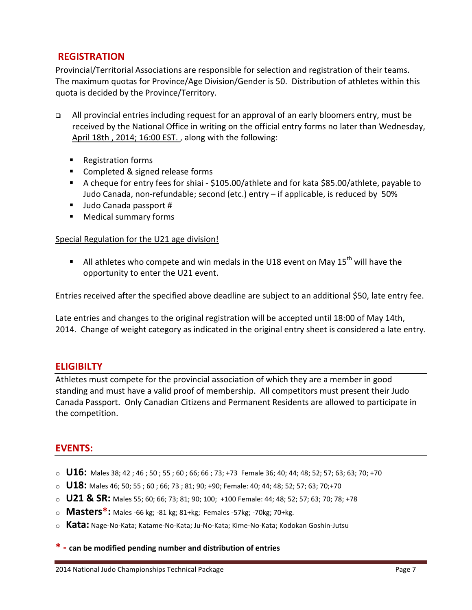### **REGISTRATION**

Provincial/Territorial Associations are responsible for selection and registration of their teams. The maximum quotas for Province/Age Division/Gender is 50. Distribution of athletes within this quota is decided by the Province/Territory.

- All provincial entries including request for an approval of an early bloomers entry, must be received by the National Office in writing on the official entry forms no later than Wednesday, April 18th , 2014; 16:00 EST. , along with the following:
	- Registration forms
	- **Completed & signed release forms**
	- A cheque for entry fees for shiai \$105.00/athlete and for kata \$85.00/athlete, payable to Judo Canada, non-refundable; second (etc.) entry – if applicable, is reduced by 50%
	- Judo Canada passport #
	- **E** Medical summary forms

#### Special Regulation for the U21 age division!

 $\blacksquare$  All athletes who compete and win medals in the U18 event on May 15<sup>th</sup> will have the opportunity to enter the U21 event.

Entries received after the specified above deadline are subject to an additional \$50, late entry fee.

Late entries and changes to the original registration will be accepted until 18:00 of May 14th, 2014. Change of weight category as indicated in the original entry sheet is considered a late entry.

#### **ELIGIBILTY**

Athletes must compete for the provincial association of which they are a member in good standing and must have a valid proof of membership. All competitors must present their Judo Canada Passport. Only Canadian Citizens and Permanent Residents are allowed to participate in the competition.

#### **EVENTS:**

- o **U16:** Males 38; 42 ; 46 ; 50 ; 55 ; 60 ; 66; 66 ; 73; +73 Female 36; 40; 44; 48; 52; 57; 63; 63; 70; +70
- o **U18:** Males 46; 50; 55 ; 60 ; 66; 73 ; 81; 90; +90; Female: 40; 44; 48; 52; 57; 63; 70;+70
- o **U21 & SR:** Males 55; 60; 66; 73; 81; 90; 100; +100 Female: 44; 48; 52; 57; 63; 70; 78; +78
- o **Masters\*:** Males -66 kg; -81 kg; 81+kg; Females -57kg; -70kg; 70+kg.
- o **Kata:** Nage-No-Kata; Katame-No-Kata; Ju-No-Kata; Kime-No-Kata; Kodokan Goshin-Jutsu

**\* - can be modified pending number and distribution of entries**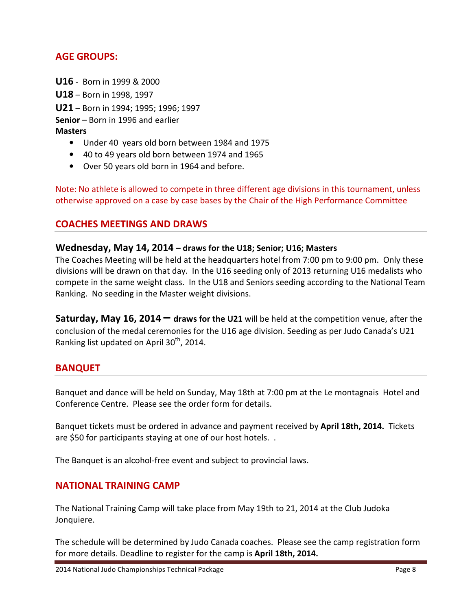### **AGE GROUPS:**

**U16** - Born in 1999 & 2000 **U18** – Born in 1998, 1997 **U21** – Born in 1994; 1995; 1996; 1997 **Senior** – Born in 1996 and earlier **Masters** 

- Under 40 years old born between 1984 and 1975
- 40 to 49 years old born between 1974 and 1965
- Over 50 years old born in 1964 and before.

Note: No athlete is allowed to compete in three different age divisions in this tournament, unless otherwise approved on a case by case bases by the Chair of the High Performance Committee

#### **COACHES MEETINGS AND DRAWS**

#### **Wednesday, May 14, 2014 – draws for the U18; Senior; U16; Masters**

The Coaches Meeting will be held at the headquarters hotel from 7:00 pm to 9:00 pm. Only these divisions will be drawn on that day. In the U16 seeding only of 2013 returning U16 medalists who compete in the same weight class. In the U18 and Seniors seeding according to the National Team Ranking. No seeding in the Master weight divisions.

**Saturday, May 16, 2014 – draws for the U21** will be held at the competition venue, after the conclusion of the medal ceremonies for the U16 age division. Seeding as per Judo Canada's U21 Ranking list updated on April  $30<sup>th</sup>$ , 2014.

#### **BANQUET**

Banquet and dance will be held on Sunday, May 18th at 7:00 pm at the Le montagnais Hotel and Conference Centre. Please see the order form for details.

Banquet tickets must be ordered in advance and payment received by **April 18th, 2014.** Tickets are \$50 for participants staying at one of our host hotels. .

The Banquet is an alcohol-free event and subject to provincial laws.

#### **NATIONAL TRAINING CAMP**

The National Training Camp will take place from May 19th to 21, 2014 at the Club Judoka Jonquiere.

The schedule will be determined by Judo Canada coaches. Please see the camp registration form for more details. Deadline to register for the camp is **April 18th, 2014.**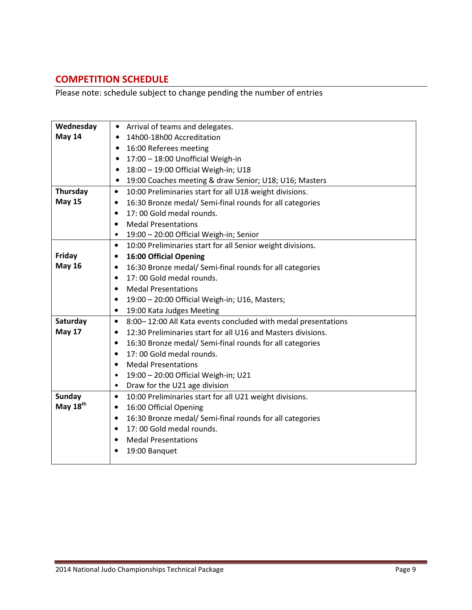## **COMPETITION SCHEDULE**

Please note: schedule subject to change pending the number of entries

| Wednesday            | Arrival of teams and delegates.<br>$\bullet$                               |  |  |  |
|----------------------|----------------------------------------------------------------------------|--|--|--|
| May 14               | 14h00-18h00 Accreditation<br>$\bullet$                                     |  |  |  |
|                      | 16:00 Referees meeting<br>$\bullet$                                        |  |  |  |
|                      | 17:00 - 18:00 Unofficial Weigh-in<br>$\bullet$                             |  |  |  |
|                      | 18:00 - 19:00 Official Weigh-in; U18                                       |  |  |  |
|                      | 19:00 Coaches meeting & draw Senior; U18; U16; Masters<br>$\bullet$        |  |  |  |
| Thursday             | 10:00 Preliminaries start for all U18 weight divisions.<br>$\bullet$       |  |  |  |
| <b>May 15</b>        | 16:30 Bronze medal/ Semi-final rounds for all categories                   |  |  |  |
|                      | 17:00 Gold medal rounds.<br>$\bullet$                                      |  |  |  |
|                      | <b>Medal Presentations</b>                                                 |  |  |  |
|                      | 19:00 - 20:00 Official Weigh-in; Senior<br>٠                               |  |  |  |
|                      | 10:00 Preliminaries start for all Senior weight divisions.<br>$\bullet$    |  |  |  |
| Friday               | <b>16:00 Official Opening</b><br>٠                                         |  |  |  |
| <b>May 16</b>        | 16:30 Bronze medal/ Semi-final rounds for all categories<br>$\bullet$      |  |  |  |
|                      | 17:00 Gold medal rounds.<br>$\bullet$                                      |  |  |  |
|                      | <b>Medal Presentations</b><br>٠                                            |  |  |  |
|                      | 19:00 - 20:00 Official Weigh-in; U16, Masters;<br>$\bullet$                |  |  |  |
|                      | 19:00 Kata Judges Meeting<br>$\bullet$                                     |  |  |  |
| Saturday             | 8:00-12:00 All Kata events concluded with medal presentations<br>$\bullet$ |  |  |  |
| <b>May 17</b>        | 12:30 Preliminaries start for all U16 and Masters divisions.<br>$\bullet$  |  |  |  |
|                      | 16:30 Bronze medal/ Semi-final rounds for all categories<br>$\bullet$      |  |  |  |
|                      | 17:00 Gold medal rounds.<br>$\bullet$                                      |  |  |  |
|                      | <b>Medal Presentations</b>                                                 |  |  |  |
|                      | 19:00 - 20:00 Official Weigh-in; U21<br>$\bullet$                          |  |  |  |
|                      | Draw for the U21 age division<br>٠                                         |  |  |  |
| <b>Sunday</b>        | 10:00 Preliminaries start for all U21 weight divisions.<br>$\bullet$       |  |  |  |
| May 18 <sup>th</sup> | 16:00 Official Opening<br>٠                                                |  |  |  |
|                      | 16:30 Bronze medal/ Semi-final rounds for all categories<br>$\bullet$      |  |  |  |
|                      | 17:00 Gold medal rounds.<br>$\bullet$                                      |  |  |  |
|                      | <b>Medal Presentations</b><br>٠                                            |  |  |  |
|                      | 19:00 Banquet                                                              |  |  |  |
|                      |                                                                            |  |  |  |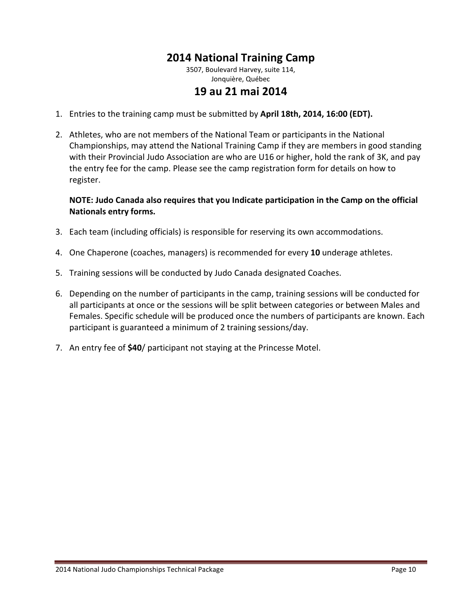## **2014 National Training Camp**

3507, Boulevard Harvey, suite 114, Jonquière, Québec

## **19 au 21 mai 2014**

- 1. Entries to the training camp must be submitted by **April 18th, 2014, 16:00 (EDT).**
- 2. Athletes, who are not members of the National Team or participants in the National Championships, may attend the National Training Camp if they are members in good standing with their Provincial Judo Association are who are U16 or higher, hold the rank of 3K, and pay the entry fee for the camp. Please see the camp registration form for details on how to register.

#### **NOTE: Judo Canada also requires that you Indicate participation in the Camp on the official Nationals entry forms.**

- 3. Each team (including officials) is responsible for reserving its own accommodations.
- 4. One Chaperone (coaches, managers) is recommended for every **10** underage athletes.
- 5. Training sessions will be conducted by Judo Canada designated Coaches.
- 6. Depending on the number of participants in the camp, training sessions will be conducted for all participants at once or the sessions will be split between categories or between Males and Females. Specific schedule will be produced once the numbers of participants are known. Each participant is guaranteed a minimum of 2 training sessions/day.
- 7. An entry fee of **\$40**/ participant not staying at the Princesse Motel.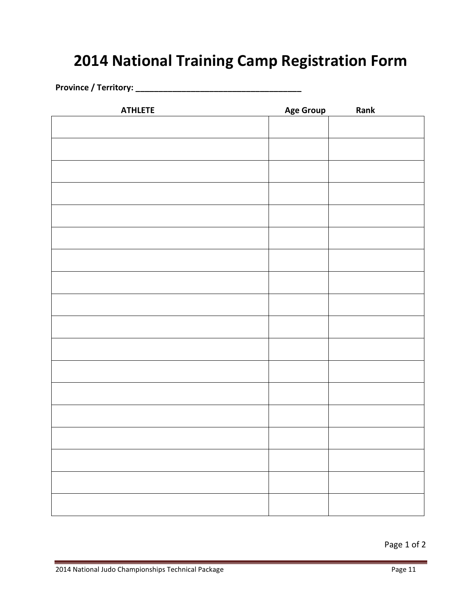## **2014 National Training Camp Registration Form**

**Province / Territory: \_\_\_\_\_\_\_\_\_\_\_\_\_\_\_\_\_\_\_\_\_\_\_\_\_\_\_\_\_\_\_\_\_\_\_\_** 

| <b>ATHLETE</b> | <b>Age Group</b> | Rank |
|----------------|------------------|------|
|                |                  |      |
|                |                  |      |
|                |                  |      |
|                |                  |      |
|                |                  |      |
|                |                  |      |
|                |                  |      |
|                |                  |      |
|                |                  |      |
|                |                  |      |
|                |                  |      |
|                |                  |      |
|                |                  |      |
|                |                  |      |
|                |                  |      |
|                |                  |      |
|                |                  |      |
|                |                  |      |
|                |                  |      |
|                |                  |      |
|                |                  |      |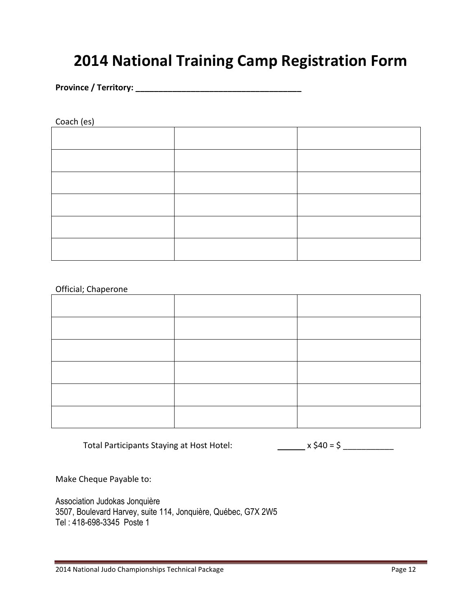## **2014 National Training Camp Registration Form**

**Province / Territory: \_\_\_\_\_\_\_\_\_\_\_\_\_\_\_\_\_\_\_\_\_\_\_\_\_\_\_\_\_\_\_\_\_\_\_\_** 

Coach (es)

#### Official; Chaperone

Total Participants Staying at Host Hotel: x \$40 = \$ \_\_\_\_\_\_\_\_\_\_\_\_

Make Cheque Payable to:

Association Judokas Jonquière 3507, Boulevard Harvey, suite 114, Jonquière, Québec, G7X 2W5 Tel : 418-698-3345 Poste 1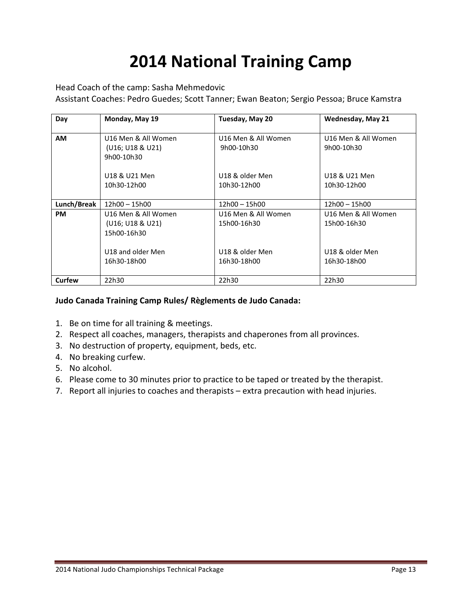# **2014 National Training Camp**

#### Head Coach of the camp: Sasha Mehmedovic

Assistant Coaches: Pedro Guedes; Scott Tanner; Ewan Beaton; Sergio Pessoa; Bruce Kamstra

| Day         | Monday, May 19                                                                             | Tuesday, May 20                                                      | <b>Wednesday, May 21</b>                                             |
|-------------|--------------------------------------------------------------------------------------------|----------------------------------------------------------------------|----------------------------------------------------------------------|
| <b>AM</b>   | U16 Men & All Women<br>(U16; U18 & U21)<br>9h00-10h30                                      | U16 Men & All Women<br>9h00-10h30                                    | U16 Men & All Women<br>9h00-10h30                                    |
|             | U18 & U21 Men<br>10h30-12h00                                                               | U18 & older Men<br>10h30-12h00                                       | U18 & U21 Men<br>10h30-12h00                                         |
| Lunch/Break | 12h00 - 15h00                                                                              | 12h00 - 15h00                                                        | 12h00 - 15h00                                                        |
| <b>PM</b>   | U16 Men & All Women<br>(U16; U18 & U21)<br>15h00-16h30<br>U18 and older Men<br>16h30-18h00 | U16 Men & All Women<br>15h00-16h30<br>U18 & older Men<br>16h30-18h00 | U16 Men & All Women<br>15h00-16h30<br>U18 & older Men<br>16h30-18h00 |
| Curfew      | 22h30                                                                                      | 22h30                                                                | 22h30                                                                |

#### **Judo Canada Training Camp Rules/ Règlements de Judo Canada:**

- 1. Be on time for all training & meetings.
- 2. Respect all coaches, managers, therapists and chaperones from all provinces.
- 3. No destruction of property, equipment, beds, etc.
- 4. No breaking curfew.
- 5. No alcohol.
- 6. Please come to 30 minutes prior to practice to be taped or treated by the therapist.
- 7. Report all injuries to coaches and therapists extra precaution with head injuries.